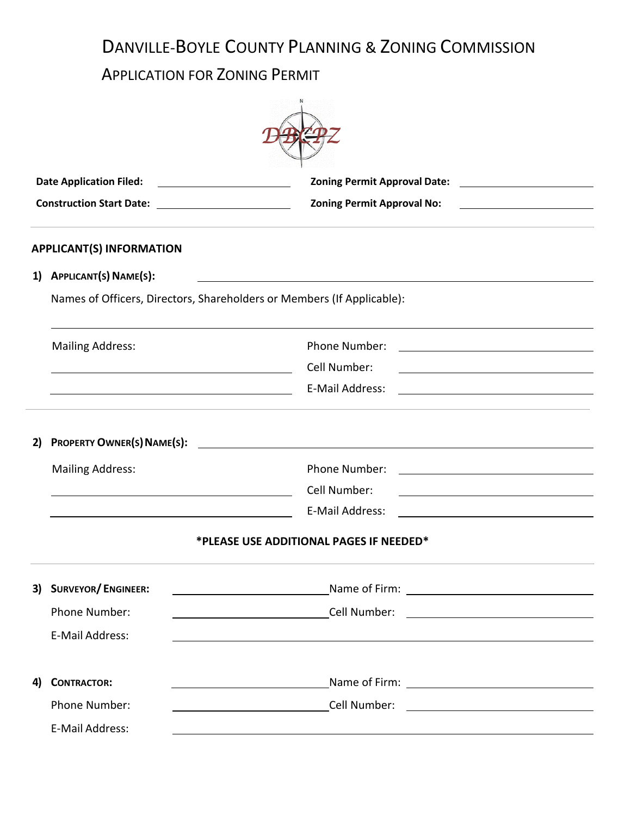# DANVILLE-BOYLE COUNTY PLANNING & ZONING COMMISSION

## APPLICATION FOR ZONING PERMIT

|                                                                        | <b>Date Application Filed:</b>                                                                                                                  |                                                                                                                                                 |  |  |  |  |
|------------------------------------------------------------------------|-------------------------------------------------------------------------------------------------------------------------------------------------|-------------------------------------------------------------------------------------------------------------------------------------------------|--|--|--|--|
|                                                                        |                                                                                                                                                 | <b>Zoning Permit Approval No:</b><br><u> 1989 - Johann Barn, amerikansk politiker (</u>                                                         |  |  |  |  |
|                                                                        | <b>APPLICANT(S) INFORMATION</b>                                                                                                                 |                                                                                                                                                 |  |  |  |  |
|                                                                        | 1) APPLICANT(S) NAME(S):<br><u> 1989 - Johann Barbara, martxa alemaniar amerikan a</u>                                                          |                                                                                                                                                 |  |  |  |  |
| Names of Officers, Directors, Shareholders or Members (If Applicable): |                                                                                                                                                 |                                                                                                                                                 |  |  |  |  |
|                                                                        | <b>Mailing Address:</b><br><u> 1989 - Johann Barn, mars eta bat erroman erroman erroman erroman erroman erroman erroman erroman erroman err</u> | Phone Number:<br>Cell Number:                                                                                                                   |  |  |  |  |
|                                                                        |                                                                                                                                                 | E-Mail Address:                                                                                                                                 |  |  |  |  |
| PROPERTY OWNER(S) NAME(S):<br>2)                                       |                                                                                                                                                 | <u> 1980 - Jan Stein Stein Stein Stein Stein Stein Stein Stein Stein Stein Stein Stein Stein Stein Stein Stein S</u>                            |  |  |  |  |
|                                                                        | <b>Mailing Address:</b>                                                                                                                         | Phone Number:                                                                                                                                   |  |  |  |  |
|                                                                        |                                                                                                                                                 | Cell Number:<br>E-Mail Address:                                                                                                                 |  |  |  |  |
|                                                                        | *PLEASE USE ADDITIONAL PAGES IF NEEDED*                                                                                                         |                                                                                                                                                 |  |  |  |  |
| 3)                                                                     | <b>SURVEYOR/ENGINEER:</b>                                                                                                                       | <u>Name of Firm: Name of Line Communications and the Communications of Firm:</u>                                                                |  |  |  |  |
|                                                                        | Phone Number:                                                                                                                                   |                                                                                                                                                 |  |  |  |  |
|                                                                        | E-Mail Address:                                                                                                                                 |                                                                                                                                                 |  |  |  |  |
| 4)                                                                     | <b>CONTRACTOR:</b>                                                                                                                              | <u> 2002 - Johann Stoff, deutscher Stoffen und der Stoffen und der Stoffen und der Stoffen und der Stoffen und der </u>                         |  |  |  |  |
|                                                                        | Phone Number:                                                                                                                                   | <b>Cell Number:</b><br><u> 2000 - John Stone, amerikansk politiker (</u>                                                                        |  |  |  |  |
|                                                                        | E-Mail Address:                                                                                                                                 | ,我们也不能在这里的时候,我们也不能在这里的时候,我们也不能会不能会不能会不能会不能会不能会不能会不能会不能会不能会。<br>第2012章 我们的时候,我们的时候,我们的时候,我们的时候,我们的时候,我们的时候,我们的时候,我们的时候,我们的时候,我们的时候,我们的时候,我们的时候,我 |  |  |  |  |
|                                                                        |                                                                                                                                                 |                                                                                                                                                 |  |  |  |  |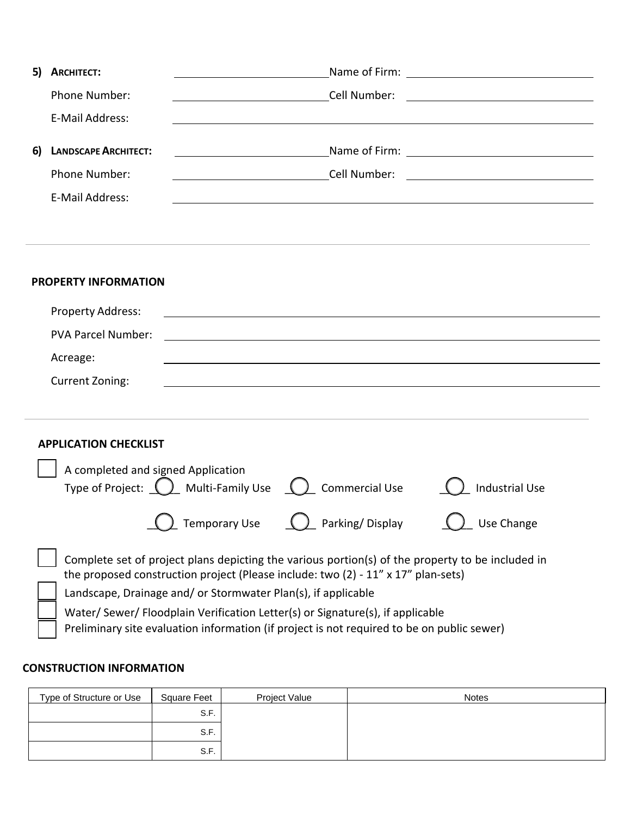| 5) | <b>ARCHITECT:</b>                                                                                                                                                          |                                                               |                                                                                                                        |                       |  |
|----|----------------------------------------------------------------------------------------------------------------------------------------------------------------------------|---------------------------------------------------------------|------------------------------------------------------------------------------------------------------------------------|-----------------------|--|
|    | Phone Number:                                                                                                                                                              |                                                               | Cell Number:                                                                                                           |                       |  |
|    | E-Mail Address:                                                                                                                                                            |                                                               |                                                                                                                        |                       |  |
|    |                                                                                                                                                                            |                                                               |                                                                                                                        |                       |  |
| 6) | <b>LANDSCAPE ARCHITECT:</b>                                                                                                                                                | <u> 1980 - Johann Barnett, fransk politik (</u>               |                                                                                                                        |                       |  |
|    | Phone Number:                                                                                                                                                              |                                                               | <b>Cell Number:</b>                                                                                                    |                       |  |
|    | E-Mail Address:                                                                                                                                                            |                                                               |                                                                                                                        |                       |  |
|    |                                                                                                                                                                            |                                                               |                                                                                                                        |                       |  |
|    |                                                                                                                                                                            |                                                               |                                                                                                                        |                       |  |
|    |                                                                                                                                                                            |                                                               |                                                                                                                        |                       |  |
|    | <b>PROPERTY INFORMATION</b>                                                                                                                                                |                                                               |                                                                                                                        |                       |  |
|    | <b>Property Address:</b>                                                                                                                                                   |                                                               | <u> 1989 - Johann Stoff, deutscher Stoffen und der Stoffen und der Stoffen und der Stoffen und der Stoffen und der</u> |                       |  |
|    | <b>PVA Parcel Number:</b>                                                                                                                                                  |                                                               |                                                                                                                        |                       |  |
|    | Acreage:                                                                                                                                                                   |                                                               |                                                                                                                        |                       |  |
|    |                                                                                                                                                                            |                                                               |                                                                                                                        |                       |  |
|    | <b>Current Zoning:</b>                                                                                                                                                     |                                                               |                                                                                                                        |                       |  |
|    |                                                                                                                                                                            |                                                               |                                                                                                                        |                       |  |
|    | <b>APPLICATION CHECKLIST</b>                                                                                                                                               |                                                               |                                                                                                                        |                       |  |
|    |                                                                                                                                                                            |                                                               |                                                                                                                        |                       |  |
|    | A completed and signed Application                                                                                                                                         |                                                               |                                                                                                                        |                       |  |
|    |                                                                                                                                                                            | Type of Project: $\bigcirc$ Multi-Family Use $\bigcirc$       | <b>Commercial Use</b>                                                                                                  | <b>Industrial Use</b> |  |
|    |                                                                                                                                                                            | <b>Temporary Use</b>                                          | Parking/Display                                                                                                        | Use Change            |  |
|    |                                                                                                                                                                            |                                                               |                                                                                                                        |                       |  |
|    |                                                                                                                                                                            |                                                               | Complete set of project plans depicting the various portion(s) of the property to be included in                       |                       |  |
|    |                                                                                                                                                                            |                                                               | the proposed construction project (Please include: two (2) - 11" x 17" plan-sets)                                      |                       |  |
|    |                                                                                                                                                                            | Landscape, Drainage and/ or Stormwater Plan(s), if applicable |                                                                                                                        |                       |  |
|    | Water/Sewer/Floodplain Verification Letter(s) or Signature(s), if applicable<br>Preliminary site evaluation information (if project is not required to be on public sewer) |                                                               |                                                                                                                        |                       |  |
|    |                                                                                                                                                                            |                                                               |                                                                                                                        |                       |  |

### **CONSTRUCTION INFORMATION**

| Type of Structure or Use | <b>Square Feet</b> | Project Value | <b>Notes</b> |
|--------------------------|--------------------|---------------|--------------|
|                          | S.F.               |               |              |
|                          | S.F.               |               |              |
|                          | S.F.               |               |              |